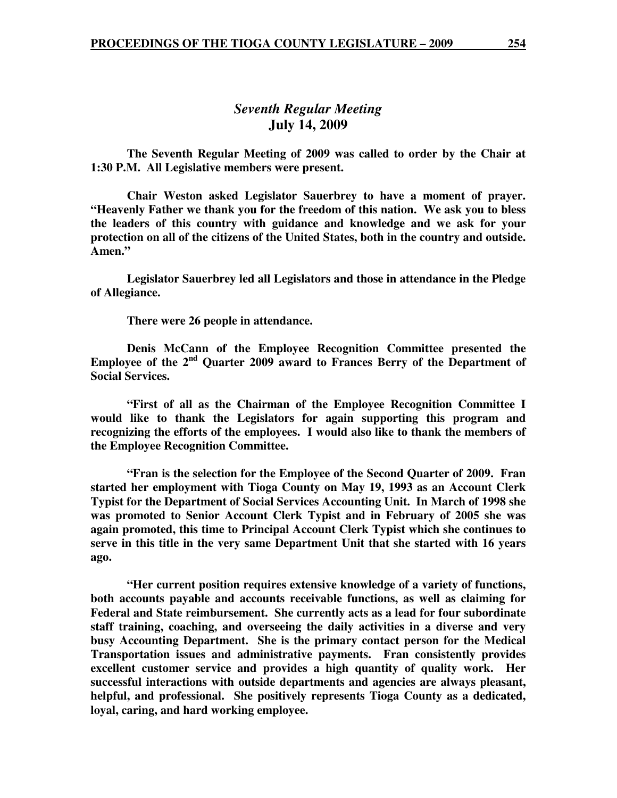# *Seventh Regular Meeting*  **July 14, 2009**

 **The Seventh Regular Meeting of 2009 was called to order by the Chair at 1:30 P.M. All Legislative members were present.** 

**Chair Weston asked Legislator Sauerbrey to have a moment of prayer. "Heavenly Father we thank you for the freedom of this nation. We ask you to bless the leaders of this country with guidance and knowledge and we ask for your protection on all of the citizens of the United States, both in the country and outside. Amen."** 

 **Legislator Sauerbrey led all Legislators and those in attendance in the Pledge of Allegiance.** 

 **There were 26 people in attendance.** 

 **Denis McCann of the Employee Recognition Committee presented the Employee of the 2nd Quarter 2009 award to Frances Berry of the Department of Social Services.** 

 **"First of all as the Chairman of the Employee Recognition Committee I would like to thank the Legislators for again supporting this program and recognizing the efforts of the employees. I would also like to thank the members of the Employee Recognition Committee.** 

 **"Fran is the selection for the Employee of the Second Quarter of 2009. Fran started her employment with Tioga County on May 19, 1993 as an Account Clerk Typist for the Department of Social Services Accounting Unit. In March of 1998 she was promoted to Senior Account Clerk Typist and in February of 2005 she was again promoted, this time to Principal Account Clerk Typist which she continues to serve in this title in the very same Department Unit that she started with 16 years ago.** 

 **"Her current position requires extensive knowledge of a variety of functions, both accounts payable and accounts receivable functions, as well as claiming for Federal and State reimbursement. She currently acts as a lead for four subordinate staff training, coaching, and overseeing the daily activities in a diverse and very busy Accounting Department. She is the primary contact person for the Medical Transportation issues and administrative payments. Fran consistently provides excellent customer service and provides a high quantity of quality work. Her successful interactions with outside departments and agencies are always pleasant, helpful, and professional. She positively represents Tioga County as a dedicated, loyal, caring, and hard working employee.**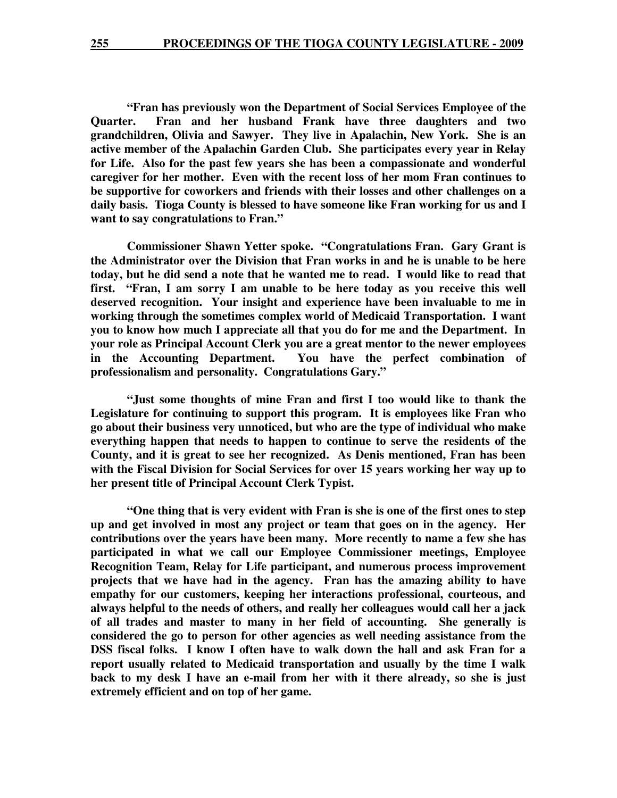**"Fran has previously won the Department of Social Services Employee of the Quarter. Fran and her husband Frank have three daughters and two grandchildren, Olivia and Sawyer. They live in Apalachin, New York. She is an active member of the Apalachin Garden Club. She participates every year in Relay for Life. Also for the past few years she has been a compassionate and wonderful caregiver for her mother. Even with the recent loss of her mom Fran continues to be supportive for coworkers and friends with their losses and other challenges on a daily basis. Tioga County is blessed to have someone like Fran working for us and I want to say congratulations to Fran."** 

 **Commissioner Shawn Yetter spoke. "Congratulations Fran. Gary Grant is the Administrator over the Division that Fran works in and he is unable to be here today, but he did send a note that he wanted me to read. I would like to read that first. "Fran, I am sorry I am unable to be here today as you receive this well deserved recognition. Your insight and experience have been invaluable to me in working through the sometimes complex world of Medicaid Transportation. I want you to know how much I appreciate all that you do for me and the Department. In your role as Principal Account Clerk you are a great mentor to the newer employees in the Accounting Department. You have the perfect combination of professionalism and personality. Congratulations Gary."** 

 **"Just some thoughts of mine Fran and first I too would like to thank the Legislature for continuing to support this program. It is employees like Fran who go about their business very unnoticed, but who are the type of individual who make everything happen that needs to happen to continue to serve the residents of the County, and it is great to see her recognized. As Denis mentioned, Fran has been with the Fiscal Division for Social Services for over 15 years working her way up to her present title of Principal Account Clerk Typist.** 

**"One thing that is very evident with Fran is she is one of the first ones to step up and get involved in most any project or team that goes on in the agency. Her contributions over the years have been many. More recently to name a few she has participated in what we call our Employee Commissioner meetings, Employee Recognition Team, Relay for Life participant, and numerous process improvement projects that we have had in the agency. Fran has the amazing ability to have empathy for our customers, keeping her interactions professional, courteous, and always helpful to the needs of others, and really her colleagues would call her a jack of all trades and master to many in her field of accounting. She generally is considered the go to person for other agencies as well needing assistance from the DSS fiscal folks. I know I often have to walk down the hall and ask Fran for a report usually related to Medicaid transportation and usually by the time I walk back to my desk I have an e-mail from her with it there already, so she is just extremely efficient and on top of her game.**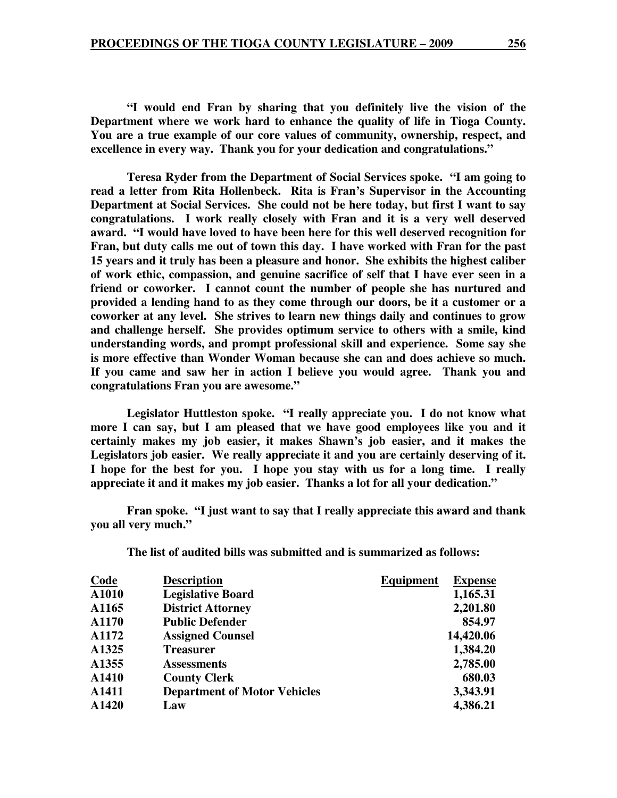**"I would end Fran by sharing that you definitely live the vision of the Department where we work hard to enhance the quality of life in Tioga County. You are a true example of our core values of community, ownership, respect, and excellence in every way. Thank you for your dedication and congratulations."** 

 **Teresa Ryder from the Department of Social Services spoke. "I am going to read a letter from Rita Hollenbeck. Rita is Fran's Supervisor in the Accounting Department at Social Services. She could not be here today, but first I want to say congratulations. I work really closely with Fran and it is a very well deserved award. "I would have loved to have been here for this well deserved recognition for Fran, but duty calls me out of town this day. I have worked with Fran for the past 15 years and it truly has been a pleasure and honor. She exhibits the highest caliber of work ethic, compassion, and genuine sacrifice of self that I have ever seen in a friend or coworker. I cannot count the number of people she has nurtured and provided a lending hand to as they come through our doors, be it a customer or a coworker at any level. She strives to learn new things daily and continues to grow and challenge herself. She provides optimum service to others with a smile, kind understanding words, and prompt professional skill and experience. Some say she is more effective than Wonder Woman because she can and does achieve so much. If you came and saw her in action I believe you would agree. Thank you and congratulations Fran you are awesome."** 

 **Legislator Huttleston spoke. "I really appreciate you. I do not know what more I can say, but I am pleased that we have good employees like you and it certainly makes my job easier, it makes Shawn's job easier, and it makes the Legislators job easier. We really appreciate it and you are certainly deserving of it. I hope for the best for you. I hope you stay with us for a long time. I really appreciate it and it makes my job easier. Thanks a lot for all your dedication."** 

 **Fran spoke. "I just want to say that I really appreciate this award and thank you all very much."** 

**The list of audited bills was submitted and is summarized as follows:** 

| <b>Code</b> | <b>Description</b>                  | <b>Equipment</b> | <b>Expense</b> |
|-------------|-------------------------------------|------------------|----------------|
| A1010       | <b>Legislative Board</b>            |                  | 1,165.31       |
| A1165       | <b>District Attorney</b>            |                  | 2,201.80       |
| A1170       | <b>Public Defender</b>              |                  | 854.97         |
| A1172       | <b>Assigned Counsel</b>             |                  | 14,420.06      |
| A1325       | <b>Treasurer</b>                    |                  | 1,384.20       |
| A1355       | <b>Assessments</b>                  |                  | 2,785.00       |
| A1410       | <b>County Clerk</b>                 |                  | 680.03         |
| A1411       | <b>Department of Motor Vehicles</b> |                  | 3,343.91       |
| A1420       | Law                                 |                  | 4,386.21       |
|             |                                     |                  |                |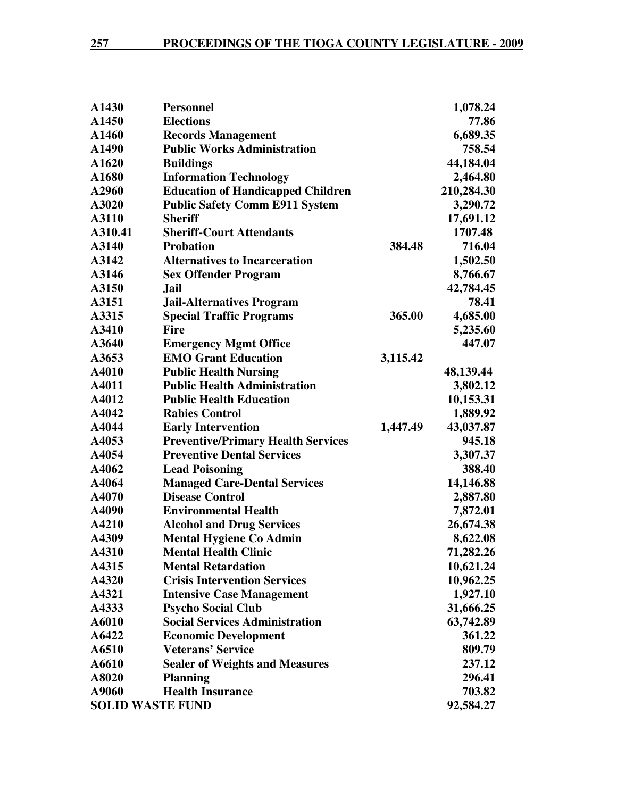| <b>Personnel</b>                          |                                                                    | 1,078.24   |
|-------------------------------------------|--------------------------------------------------------------------|------------|
| <b>Elections</b>                          |                                                                    | 77.86      |
| <b>Records Management</b>                 |                                                                    | 6,689.35   |
| <b>Public Works Administration</b>        |                                                                    | 758.54     |
| <b>Buildings</b>                          |                                                                    | 44,184.04  |
| <b>Information Technology</b>             |                                                                    | 2,464.80   |
| <b>Education of Handicapped Children</b>  |                                                                    | 210,284.30 |
| <b>Public Safety Comm E911 System</b>     |                                                                    | 3,290.72   |
| <b>Sheriff</b>                            |                                                                    | 17,691.12  |
| <b>Sheriff-Court Attendants</b>           |                                                                    | 1707.48    |
| <b>Probation</b>                          | 384.48                                                             | 716.04     |
| <b>Alternatives to Incarceration</b>      |                                                                    | 1,502.50   |
| <b>Sex Offender Program</b>               |                                                                    | 8,766.67   |
| <b>Jail</b>                               |                                                                    | 42,784.45  |
| <b>Jail-Alternatives Program</b>          |                                                                    | 78.41      |
| <b>Special Traffic Programs</b>           | 365.00                                                             | 4,685.00   |
| <b>Fire</b>                               |                                                                    | 5,235.60   |
| <b>Emergency Mgmt Office</b>              |                                                                    | 447.07     |
| <b>EMO Grant Education</b>                | 3,115.42                                                           |            |
| <b>Public Health Nursing</b>              |                                                                    | 48,139.44  |
| <b>Public Health Administration</b>       |                                                                    | 3,802.12   |
| <b>Public Health Education</b>            |                                                                    | 10,153.31  |
| <b>Rabies Control</b>                     |                                                                    | 1,889.92   |
| <b>Early Intervention</b>                 | 1,447.49                                                           | 43,037.87  |
| <b>Preventive/Primary Health Services</b> |                                                                    | 945.18     |
| <b>Preventive Dental Services</b>         |                                                                    | 3,307.37   |
| <b>Lead Poisoning</b>                     |                                                                    | 388.40     |
| <b>Managed Care-Dental Services</b>       |                                                                    | 14,146.88  |
| <b>Disease Control</b>                    |                                                                    | 2,887.80   |
| <b>Environmental Health</b>               |                                                                    | 7,872.01   |
| <b>Alcohol and Drug Services</b>          |                                                                    | 26,674.38  |
|                                           |                                                                    | 8,622.08   |
| <b>Mental Health Clinic</b>               |                                                                    | 71,282.26  |
| <b>Mental Retardation</b>                 |                                                                    | 10,621.24  |
| <b>Crisis Intervention Services</b>       |                                                                    | 10,962.25  |
|                                           |                                                                    | 1,927.10   |
| <b>Psycho Social Club</b>                 |                                                                    | 31,666.25  |
| <b>Social Services Administration</b>     |                                                                    | 63,742.89  |
| <b>Economic Development</b>               |                                                                    | 361.22     |
| <b>Veterans' Service</b>                  |                                                                    | 809.79     |
| <b>Sealer of Weights and Measures</b>     |                                                                    | 237.12     |
| <b>Planning</b>                           |                                                                    | 296.41     |
| <b>Health Insurance</b>                   |                                                                    | 703.82     |
| <b>SOLID WASTE FUND</b>                   |                                                                    | 92,584.27  |
|                                           | <b>Mental Hygiene Co Admin</b><br><b>Intensive Case Management</b> |            |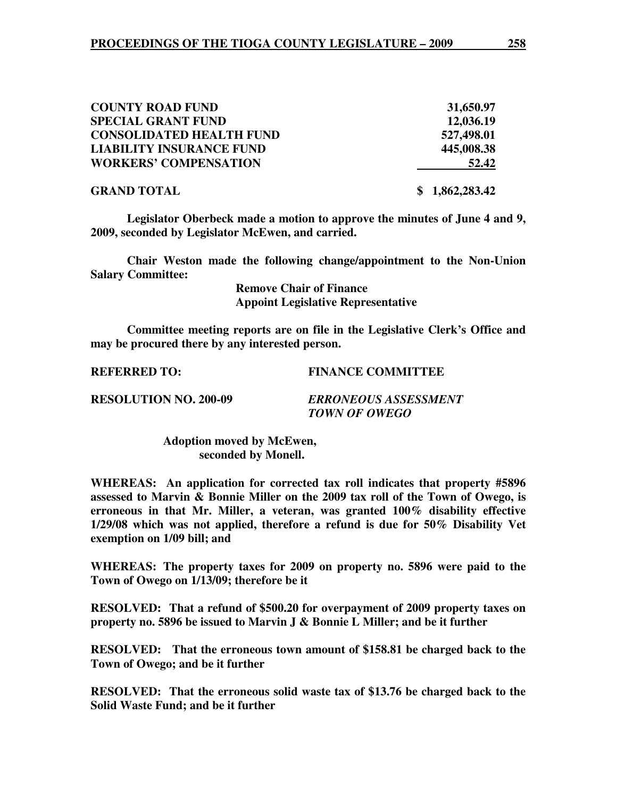| <b>COUNTY ROAD FUND</b>         | 31,650.97      |
|---------------------------------|----------------|
| <b>SPECIAL GRANT FUND</b>       | 12,036.19      |
| <b>CONSOLIDATED HEALTH FUND</b> | 527,498.01     |
| <b>LIABILITY INSURANCE FUND</b> | 445,008.38     |
| <b>WORKERS' COMPENSATION</b>    | 52.42          |
| <b>GRAND TOTAL</b>              | \$1,862,283.42 |

**Legislator Oberbeck made a motion to approve the minutes of June 4 and 9, 2009, seconded by Legislator McEwen, and carried.** 

 **Chair Weston made the following change/appointment to the Non-Union Salary Committee:** 

> **Remove Chair of Finance Appoint Legislative Representative**

**Committee meeting reports are on file in the Legislative Clerk's Office and may be procured there by any interested person.** 

**REFERRED TO: FINANCE COMMITTEE** 

**RESOLUTION NO. 200-09** *ERRONEOUS ASSESSMENT TOWN OF OWEGO* 

> **Adoption moved by McEwen, seconded by Monell.**

**WHEREAS: An application for corrected tax roll indicates that property #5896 assessed to Marvin & Bonnie Miller on the 2009 tax roll of the Town of Owego, is erroneous in that Mr. Miller, a veteran, was granted 100% disability effective 1/29/08 which was not applied, therefore a refund is due for 50% Disability Vet exemption on 1/09 bill; and** 

**WHEREAS: The property taxes for 2009 on property no. 5896 were paid to the Town of Owego on 1/13/09; therefore be it** 

**RESOLVED: That a refund of \$500.20 for overpayment of 2009 property taxes on property no. 5896 be issued to Marvin J & Bonnie L Miller; and be it further** 

**RESOLVED: That the erroneous town amount of \$158.81 be charged back to the Town of Owego; and be it further** 

**RESOLVED: That the erroneous solid waste tax of \$13.76 be charged back to the Solid Waste Fund; and be it further**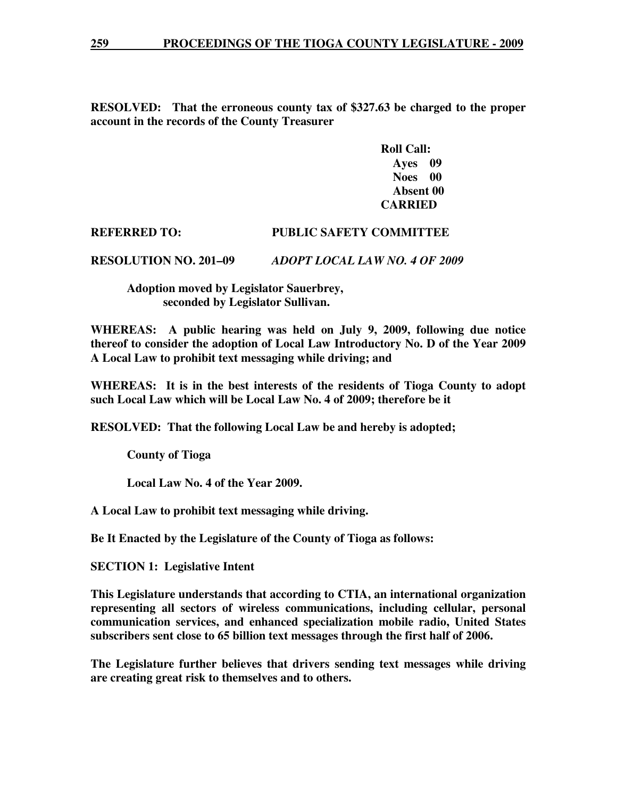**RESOLVED: That the erroneous county tax of \$327.63 be charged to the proper account in the records of the County Treasurer** 

> **Roll Call: Ayes 09 Noes 00 Absent 00 CARRIED**

## **REFERRED TO: PUBLIC SAFETY COMMITTEE**

**RESOLUTION NO. 201–09** *ADOPT LOCAL LAW NO. 4 OF 2009*

 **Adoption moved by Legislator Sauerbrey, seconded by Legislator Sullivan.** 

**WHEREAS: A public hearing was held on July 9, 2009, following due notice thereof to consider the adoption of Local Law Introductory No. D of the Year 2009 A Local Law to prohibit text messaging while driving; and** 

**WHEREAS: It is in the best interests of the residents of Tioga County to adopt such Local Law which will be Local Law No. 4 of 2009; therefore be it** 

**RESOLVED: That the following Local Law be and hereby is adopted;** 

 **County of Tioga** 

 **Local Law No. 4 of the Year 2009.** 

**A Local Law to prohibit text messaging while driving.** 

**Be It Enacted by the Legislature of the County of Tioga as follows:** 

**SECTION 1: Legislative Intent** 

**This Legislature understands that according to CTIA, an international organization representing all sectors of wireless communications, including cellular, personal communication services, and enhanced specialization mobile radio, United States subscribers sent close to 65 billion text messages through the first half of 2006.** 

**The Legislature further believes that drivers sending text messages while driving are creating great risk to themselves and to others.**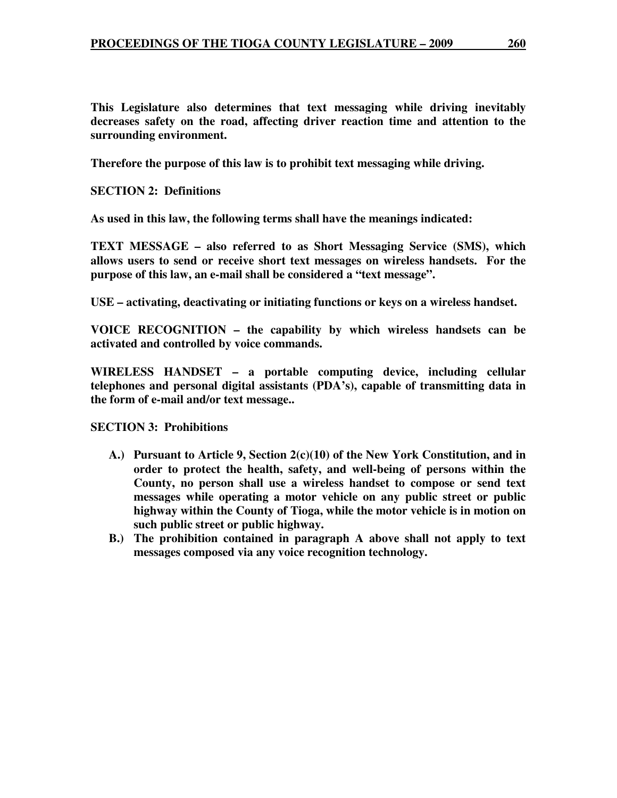**This Legislature also determines that text messaging while driving inevitably decreases safety on the road, affecting driver reaction time and attention to the surrounding environment.** 

**Therefore the purpose of this law is to prohibit text messaging while driving.** 

**SECTION 2: Definitions** 

**As used in this law, the following terms shall have the meanings indicated:** 

**TEXT MESSAGE – also referred to as Short Messaging Service (SMS), which allows users to send or receive short text messages on wireless handsets. For the purpose of this law, an e-mail shall be considered a "text message".** 

**USE – activating, deactivating or initiating functions or keys on a wireless handset.** 

**VOICE RECOGNITION – the capability by which wireless handsets can be activated and controlled by voice commands.** 

**WIRELESS HANDSET – a portable computing device, including cellular telephones and personal digital assistants (PDA's), capable of transmitting data in the form of e-mail and/or text message..** 

**SECTION 3: Prohibitions** 

- **A.) Pursuant to Article 9, Section 2(c)(10) of the New York Constitution, and in order to protect the health, safety, and well-being of persons within the County, no person shall use a wireless handset to compose or send text messages while operating a motor vehicle on any public street or public highway within the County of Tioga, while the motor vehicle is in motion on such public street or public highway.**
- **B.) The prohibition contained in paragraph A above shall not apply to text messages composed via any voice recognition technology.**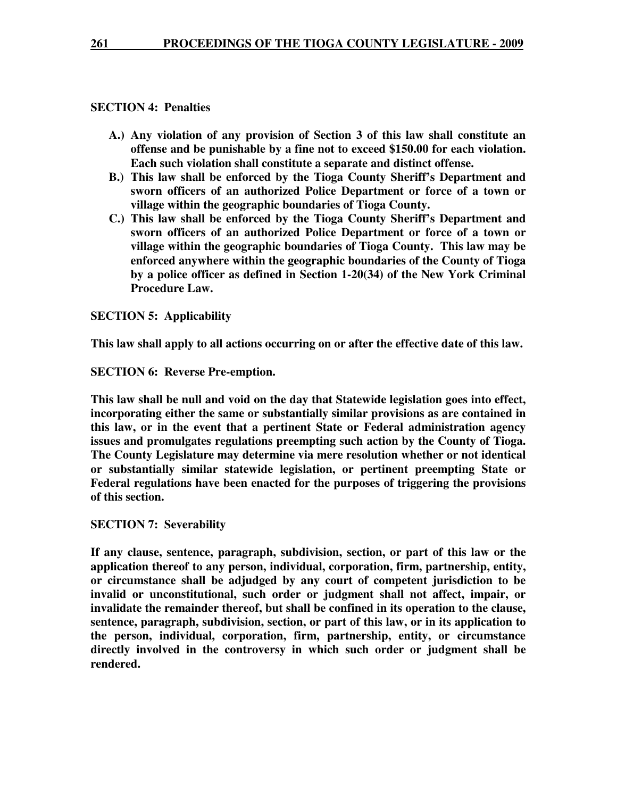## **SECTION 4: Penalties**

- **A.) Any violation of any provision of Section 3 of this law shall constitute an offense and be punishable by a fine not to exceed \$150.00 for each violation. Each such violation shall constitute a separate and distinct offense.**
- **B.) This law shall be enforced by the Tioga County Sheriff's Department and sworn officers of an authorized Police Department or force of a town or village within the geographic boundaries of Tioga County.**
- **C.) This law shall be enforced by the Tioga County Sheriff's Department and sworn officers of an authorized Police Department or force of a town or village within the geographic boundaries of Tioga County. This law may be enforced anywhere within the geographic boundaries of the County of Tioga by a police officer as defined in Section 1-20(34) of the New York Criminal Procedure Law.**

## **SECTION 5: Applicability**

**This law shall apply to all actions occurring on or after the effective date of this law.** 

**SECTION 6: Reverse Pre-emption.** 

**This law shall be null and void on the day that Statewide legislation goes into effect, incorporating either the same or substantially similar provisions as are contained in this law, or in the event that a pertinent State or Federal administration agency issues and promulgates regulations preempting such action by the County of Tioga. The County Legislature may determine via mere resolution whether or not identical or substantially similar statewide legislation, or pertinent preempting State or Federal regulations have been enacted for the purposes of triggering the provisions of this section.** 

## **SECTION 7: Severability**

**If any clause, sentence, paragraph, subdivision, section, or part of this law or the application thereof to any person, individual, corporation, firm, partnership, entity, or circumstance shall be adjudged by any court of competent jurisdiction to be invalid or unconstitutional, such order or judgment shall not affect, impair, or invalidate the remainder thereof, but shall be confined in its operation to the clause, sentence, paragraph, subdivision, section, or part of this law, or in its application to the person, individual, corporation, firm, partnership, entity, or circumstance directly involved in the controversy in which such order or judgment shall be rendered.**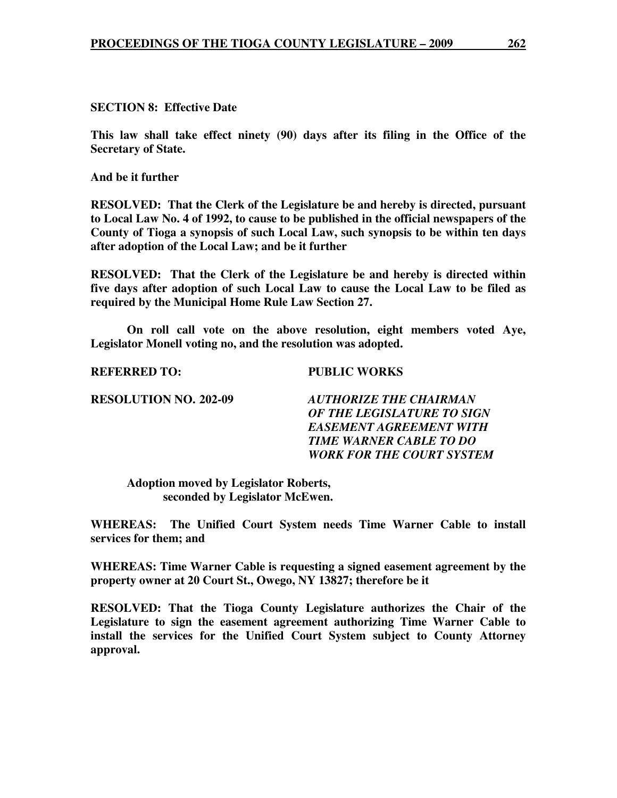**SECTION 8: Effective Date** 

**This law shall take effect ninety (90) days after its filing in the Office of the Secretary of State.** 

**And be it further** 

**RESOLVED: That the Clerk of the Legislature be and hereby is directed, pursuant to Local Law No. 4 of 1992, to cause to be published in the official newspapers of the County of Tioga a synopsis of such Local Law, such synopsis to be within ten days after adoption of the Local Law; and be it further** 

**RESOLVED: That the Clerk of the Legislature be and hereby is directed within five days after adoption of such Local Law to cause the Local Law to be filed as required by the Municipal Home Rule Law Section 27.**

 **On roll call vote on the above resolution, eight members voted Aye, Legislator Monell voting no, and the resolution was adopted.** 

**REFERRED TO: PUBLIC WORKS** 

**RESOLUTION NO. 202-09** *AUTHORIZE THE CHAIRMAN OF THE LEGISLATURE TO SIGN EASEMENT AGREEMENT WITH TIME WARNER CABLE TO DO WORK FOR THE COURT SYSTEM* 

 **Adoption moved by Legislator Roberts, seconded by Legislator McEwen.** 

**WHEREAS: The Unified Court System needs Time Warner Cable to install services for them; and** 

**WHEREAS: Time Warner Cable is requesting a signed easement agreement by the property owner at 20 Court St., Owego, NY 13827; therefore be it** 

**RESOLVED: That the Tioga County Legislature authorizes the Chair of the Legislature to sign the easement agreement authorizing Time Warner Cable to install the services for the Unified Court System subject to County Attorney approval.**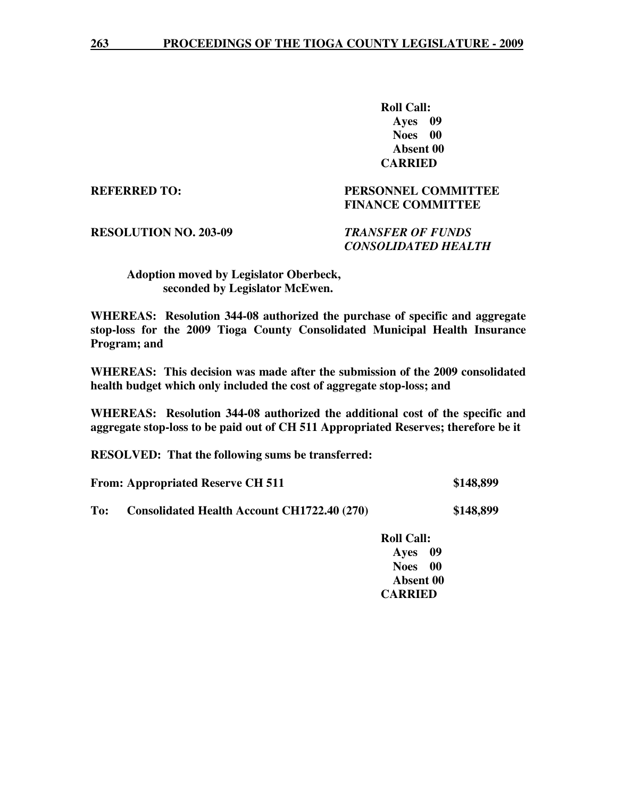**Roll Call: Ayes 09 Noes 00 Absent 00 CARRIED** 

**REFERRED TO: PERSONNEL COMMITTEE FINANCE COMMITTEE** 

**RESOLUTION NO. 203-09** *TRANSFER OF FUNDS* 

 *CONSOLIDATED HEALTH* 

 **Adoption moved by Legislator Oberbeck, seconded by Legislator McEwen.** 

**WHEREAS: Resolution 344-08 authorized the purchase of specific and aggregate stop-loss for the 2009 Tioga County Consolidated Municipal Health Insurance Program; and** 

**WHEREAS: This decision was made after the submission of the 2009 consolidated health budget which only included the cost of aggregate stop-loss; and** 

**WHEREAS: Resolution 344-08 authorized the additional cost of the specific and aggregate stop-loss to be paid out of CH 511 Appropriated Reserves; therefore be it** 

**RESOLVED: That the following sums be transferred:** 

**From: Appropriated Reserve CH 511 \$148,899** 

**To: Consolidated Health Account CH1722.40 (270) \$148,899** 

 **Roll Call: Ayes 09 Noes 00 Absent 00 CARRIED**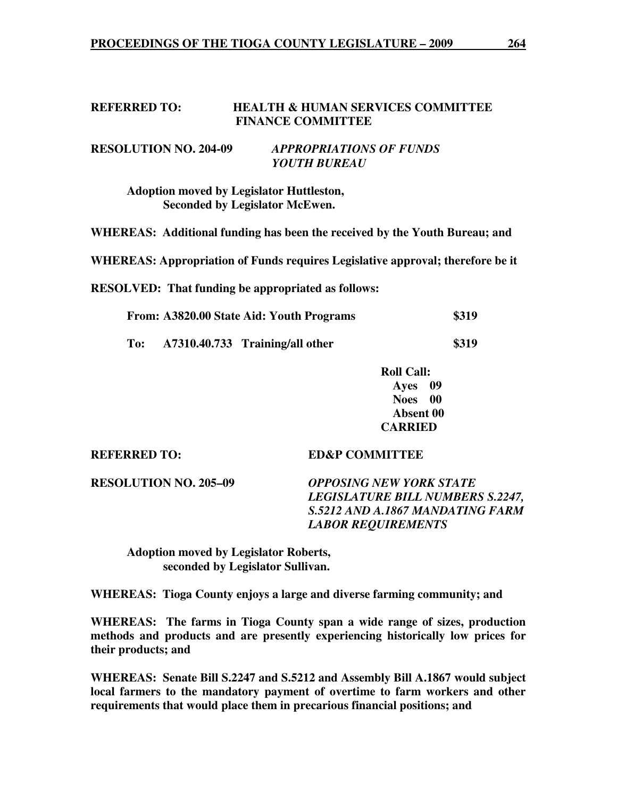#### **REFERRED TO: HEALTH & HUMAN SERVICES COMMITTEE FINANCE COMMITTEE**

## **RESOLUTION NO. 204-09** *APPROPRIATIONS OF FUNDS YOUTH BUREAU*

 **Adoption moved by Legislator Huttleston, Seconded by Legislator McEwen.** 

**WHEREAS: Additional funding has been the received by the Youth Bureau; and** 

**WHEREAS: Appropriation of Funds requires Legislative approval; therefore be it** 

**RESOLVED: That funding be appropriated as follows:**

| From: A3820.00 State Aid: Youth Programs | \$319 |
|------------------------------------------|-------|
|------------------------------------------|-------|

**To: A7310.40.733 Training/all other \$319** 

 **Roll Call: Ayes 09 Noes 00 Absent 00 CARRIED** 

### **REFERRED TO: ED&P COMMITTEE**

**RESOLUTION NO. 205–09** *OPPOSING NEW YORK STATE* 

*LEGISLATURE BILL NUMBERS S.2247, S.5212 AND A.1867 MANDATING FARM LABOR REQUIREMENTS* 

 **Adoption moved by Legislator Roberts, seconded by Legislator Sullivan.** 

**WHEREAS: Tioga County enjoys a large and diverse farming community; and** 

**WHEREAS: The farms in Tioga County span a wide range of sizes, production methods and products and are presently experiencing historically low prices for their products; and** 

**WHEREAS: Senate Bill S.2247 and S.5212 and Assembly Bill A.1867 would subject local farmers to the mandatory payment of overtime to farm workers and other requirements that would place them in precarious financial positions; and**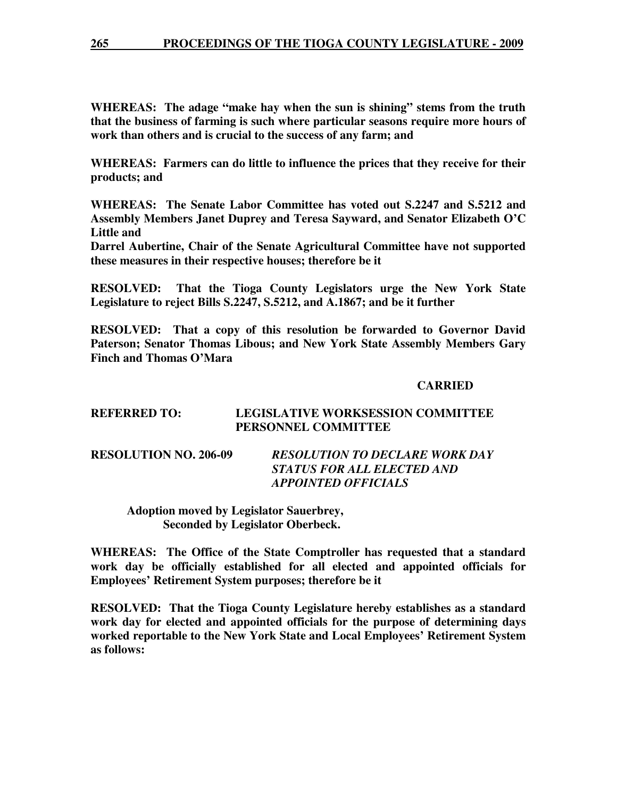**WHEREAS: The adage "make hay when the sun is shining" stems from the truth that the business of farming is such where particular seasons require more hours of work than others and is crucial to the success of any farm; and** 

**WHEREAS: Farmers can do little to influence the prices that they receive for their products; and** 

**WHEREAS: The Senate Labor Committee has voted out S.2247 and S.5212 and Assembly Members Janet Duprey and Teresa Sayward, and Senator Elizabeth O'C Little and** 

**Darrel Aubertine, Chair of the Senate Agricultural Committee have not supported these measures in their respective houses; therefore be it** 

**RESOLVED: That the Tioga County Legislators urge the New York State Legislature to reject Bills S.2247, S.5212, and A.1867; and be it further** 

**RESOLVED: That a copy of this resolution be forwarded to Governor David Paterson; Senator Thomas Libous; and New York State Assembly Members Gary Finch and Thomas O'Mara** 

## **CARRIED**

## **REFERRED TO: LEGISLATIVE WORKSESSION COMMITTEE PERSONNEL COMMITTEE**

| <b>RESOLUTION NO. 206-09</b> | <b>RESOLUTION TO DECLARE WORK DAY</b> |
|------------------------------|---------------------------------------|
|                              | STATUS FOR ALL ELECTED AND            |
|                              | <b>APPOINTED OFFICIALS</b>            |

 **Adoption moved by Legislator Sauerbrey, Seconded by Legislator Oberbeck.** 

**WHEREAS: The Office of the State Comptroller has requested that a standard work day be officially established for all elected and appointed officials for Employees' Retirement System purposes; therefore be it** 

**RESOLVED: That the Tioga County Legislature hereby establishes as a standard work day for elected and appointed officials for the purpose of determining days worked reportable to the New York State and Local Employees' Retirement System as follows:**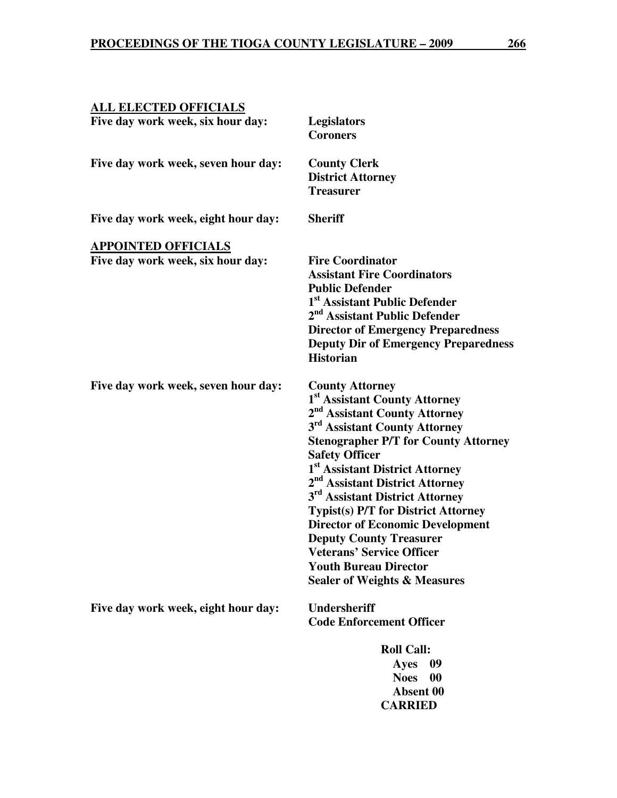| <b>ALL ELECTED OFFICIALS</b>                                    |                                                                                                                                                                                                                                                                                                                                                                                                                                                                                                                                                                                                                              |
|-----------------------------------------------------------------|------------------------------------------------------------------------------------------------------------------------------------------------------------------------------------------------------------------------------------------------------------------------------------------------------------------------------------------------------------------------------------------------------------------------------------------------------------------------------------------------------------------------------------------------------------------------------------------------------------------------------|
| Five day work week, six hour day:                               | <b>Legislators</b><br><b>Coroners</b>                                                                                                                                                                                                                                                                                                                                                                                                                                                                                                                                                                                        |
| Five day work week, seven hour day:                             | <b>County Clerk</b><br><b>District Attorney</b><br><b>Treasurer</b>                                                                                                                                                                                                                                                                                                                                                                                                                                                                                                                                                          |
| Five day work week, eight hour day:                             | <b>Sheriff</b>                                                                                                                                                                                                                                                                                                                                                                                                                                                                                                                                                                                                               |
| <b>APPOINTED OFFICIALS</b><br>Five day work week, six hour day: | <b>Fire Coordinator</b><br><b>Assistant Fire Coordinators</b><br><b>Public Defender</b><br>1 <sup>st</sup> Assistant Public Defender<br>2 <sup>nd</sup> Assistant Public Defender<br><b>Director of Emergency Preparedness</b><br><b>Deputy Dir of Emergency Preparedness</b><br><b>Historian</b>                                                                                                                                                                                                                                                                                                                            |
| Five day work week, seven hour day:                             | <b>County Attorney</b><br>1 <sup>st</sup> Assistant County Attorney<br>2 <sup>nd</sup> Assistant County Attorney<br>3 <sup>rd</sup> Assistant County Attorney<br><b>Stenographer P/T for County Attorney</b><br><b>Safety Officer</b><br>1 <sup>st</sup> Assistant District Attorney<br>2 <sup>nd</sup> Assistant District Attorney<br>3 <sup>rd</sup> Assistant District Attorney<br><b>Typist(s) P/T for District Attorney</b><br><b>Director of Economic Development</b><br><b>Deputy County Treasurer</b><br><b>Veterans' Service Officer</b><br><b>Youth Bureau Director</b><br><b>Sealer of Weights &amp; Measures</b> |
| Five day work week, eight hour day:                             | <b>Undersheriff</b><br><b>Code Enforcement Officer</b>                                                                                                                                                                                                                                                                                                                                                                                                                                                                                                                                                                       |
|                                                                 | <b>Roll Call:</b><br>09<br>Ayes<br><b>Noes</b><br>00<br>Absent 00                                                                                                                                                                                                                                                                                                                                                                                                                                                                                                                                                            |

 **CARRIED**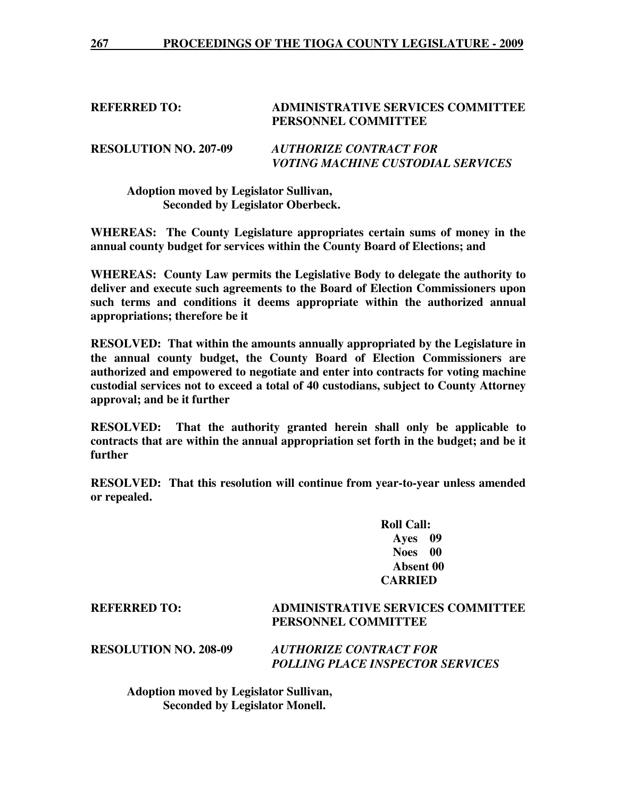#### **REFERRED TO: ADMINISTRATIVE SERVICES COMMITTEE PERSONNEL COMMITTEE**

**RESOLUTION NO. 207-09** *AUTHORIZE CONTRACT FOR VOTING MACHINE CUSTODIAL SERVICES* 

 **Adoption moved by Legislator Sullivan, Seconded by Legislator Oberbeck.** 

**WHEREAS: The County Legislature appropriates certain sums of money in the annual county budget for services within the County Board of Elections; and** 

**WHEREAS: County Law permits the Legislative Body to delegate the authority to deliver and execute such agreements to the Board of Election Commissioners upon such terms and conditions it deems appropriate within the authorized annual appropriations; therefore be it** 

**RESOLVED: That within the amounts annually appropriated by the Legislature in the annual county budget, the County Board of Election Commissioners are authorized and empowered to negotiate and enter into contracts for voting machine custodial services not to exceed a total of 40 custodians, subject to County Attorney approval; and be it further** 

**RESOLVED: That the authority granted herein shall only be applicable to contracts that are within the annual appropriation set forth in the budget; and be it further** 

**RESOLVED: That this resolution will continue from year-to-year unless amended or repealed.** 

> **Roll Call: Ayes 09 Noes 00 Absent 00 CARRIED**

**REFERRED TO: ADMINISTRATIVE SERVICES COMMITTEE PERSONNEL COMMITTEE** 

**RESOLUTION NO. 208-09** *AUTHORIZE CONTRACT FOR POLLING PLACE INSPECTOR SERVICES* 

 **Adoption moved by Legislator Sullivan, Seconded by Legislator Monell.**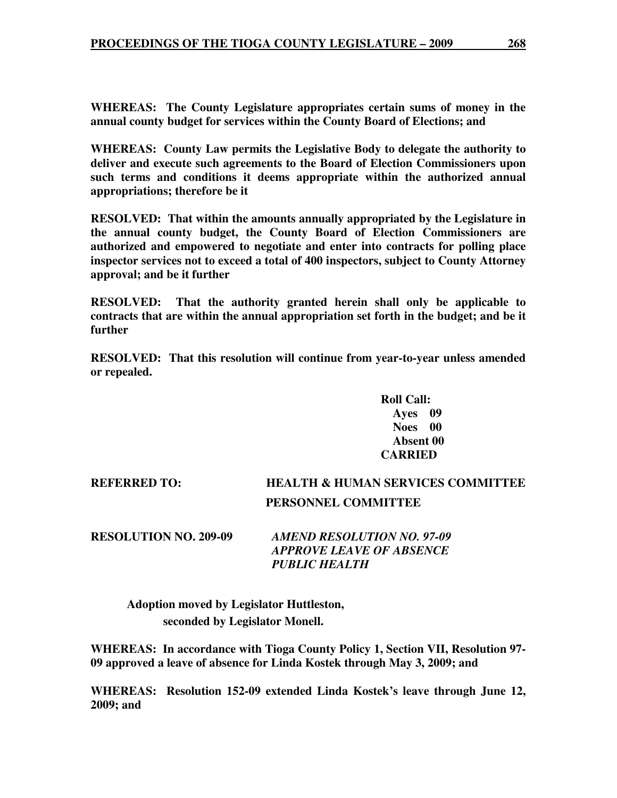**WHEREAS: The County Legislature appropriates certain sums of money in the annual county budget for services within the County Board of Elections; and** 

**WHEREAS: County Law permits the Legislative Body to delegate the authority to deliver and execute such agreements to the Board of Election Commissioners upon such terms and conditions it deems appropriate within the authorized annual appropriations; therefore be it** 

**RESOLVED: That within the amounts annually appropriated by the Legislature in the annual county budget, the County Board of Election Commissioners are authorized and empowered to negotiate and enter into contracts for polling place inspector services not to exceed a total of 400 inspectors, subject to County Attorney approval; and be it further** 

**RESOLVED: That the authority granted herein shall only be applicable to contracts that are within the annual appropriation set forth in the budget; and be it further** 

**RESOLVED: That this resolution will continue from year-to-year unless amended or repealed.** 

> **Roll Call: Ayes 09 Noes 00 Absent 00 CARRIED**

**REFERRED TO: HEALTH & HUMAN SERVICES COMMITTEE PERSONNEL COMMITTEE** 

**RESOLUTION NO. 209-09** *AMEND RESOLUTION NO. 97-09 APPROVE LEAVE OF ABSENCE PUBLIC HEALTH* 

 **Adoption moved by Legislator Huttleston, seconded by Legislator Monell.** 

**WHEREAS: In accordance with Tioga County Policy 1, Section VII, Resolution 97- 09 approved a leave of absence for Linda Kostek through May 3, 2009; and** 

**WHEREAS: Resolution 152-09 extended Linda Kostek's leave through June 12, 2009; and**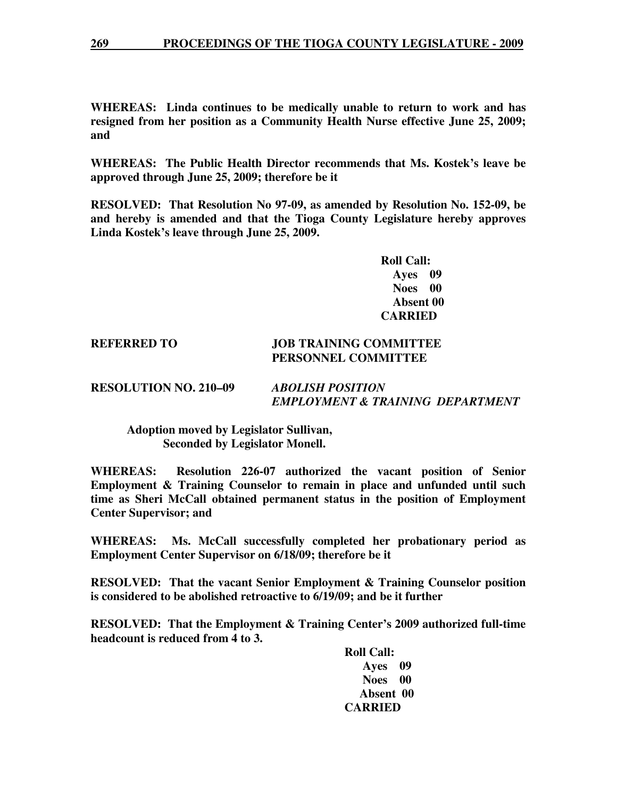**WHEREAS: Linda continues to be medically unable to return to work and has resigned from her position as a Community Health Nurse effective June 25, 2009; and** 

**WHEREAS: The Public Health Director recommends that Ms. Kostek's leave be approved through June 25, 2009; therefore be it** 

**RESOLVED: That Resolution No 97-09, as amended by Resolution No. 152-09, be and hereby is amended and that the Tioga County Legislature hereby approves Linda Kostek's leave through June 25, 2009.** 

> **Roll Call: Ayes 09 Noes 00 Absent 00 CARRIED**

#### **REFERRED TO JOB TRAINING COMMITTEE PERSONNEL COMMITTEE**

### **RESOLUTION NO. 210–09** *ABOLISH POSITION EMPLOYMENT & TRAINING DEPARTMENT*

 **Adoption moved by Legislator Sullivan, Seconded by Legislator Monell.** 

**WHEREAS: Resolution 226-07 authorized the vacant position of Senior Employment & Training Counselor to remain in place and unfunded until such time as Sheri McCall obtained permanent status in the position of Employment Center Supervisor; and** 

**WHEREAS: Ms. McCall successfully completed her probationary period as Employment Center Supervisor on 6/18/09; therefore be it** 

**RESOLVED: That the vacant Senior Employment & Training Counselor position is considered to be abolished retroactive to 6/19/09; and be it further** 

**RESOLVED: That the Employment & Training Center's 2009 authorized full-time headcount is reduced from 4 to 3.** 

> **Roll Call: Ayes 09 Noes 00 Absent 00 CARRIED**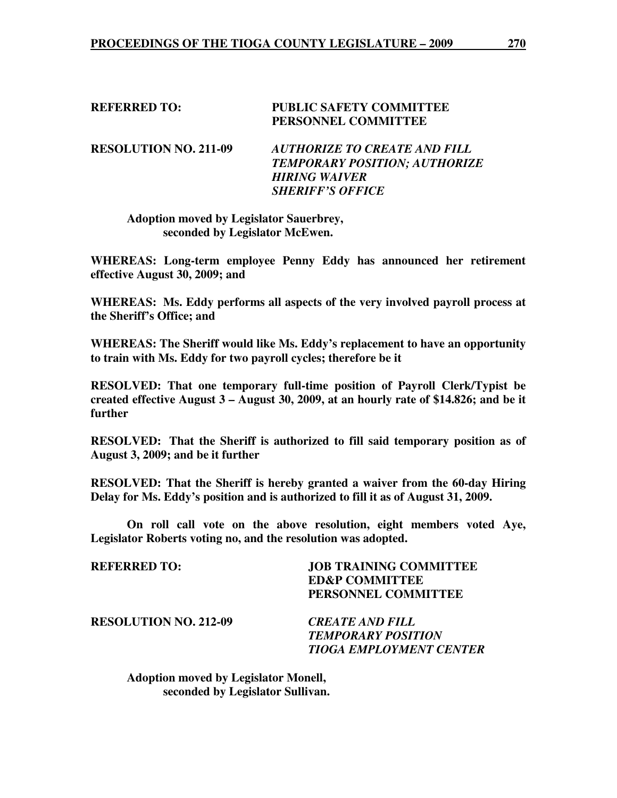### **REFERRED TO: PUBLIC SAFETY COMMITTEE PERSONNEL COMMITTEE**

**RESOLUTION NO. 211-09** *AUTHORIZE TO CREATE AND FILL TEMPORARY POSITION; AUTHORIZE HIRING WAIVER SHERIFF'S OFFICE* 

 **Adoption moved by Legislator Sauerbrey, seconded by Legislator McEwen.** 

**WHEREAS: Long-term employee Penny Eddy has announced her retirement effective August 30, 2009; and** 

**WHEREAS: Ms. Eddy performs all aspects of the very involved payroll process at the Sheriff's Office; and** 

**WHEREAS: The Sheriff would like Ms. Eddy's replacement to have an opportunity to train with Ms. Eddy for two payroll cycles; therefore be it** 

**RESOLVED: That one temporary full-time position of Payroll Clerk/Typist be created effective August 3 – August 30, 2009, at an hourly rate of \$14.826; and be it further** 

**RESOLVED: That the Sheriff is authorized to fill said temporary position as of August 3, 2009; and be it further** 

**RESOLVED: That the Sheriff is hereby granted a waiver from the 60-day Hiring Delay for Ms. Eddy's position and is authorized to fill it as of August 31, 2009.** 

 **On roll call vote on the above resolution, eight members voted Aye, Legislator Roberts voting no, and the resolution was adopted.** 

| REFERRED TO:                 | <b>JOB TRAINING COMMITTEE</b>  |
|------------------------------|--------------------------------|
|                              | <b>ED&amp;P COMMITTEE</b>      |
|                              | PERSONNEL COMMITTEE            |
| <b>RESOLUTION NO. 212-09</b> | <b>CREATE AND FILL</b>         |
|                              | <b>TEMPORARY POSITION</b>      |
|                              | <b>TIOGA EMPLOYMENT CENTER</b> |
|                              |                                |

 **Adoption moved by Legislator Monell, seconded by Legislator Sullivan.**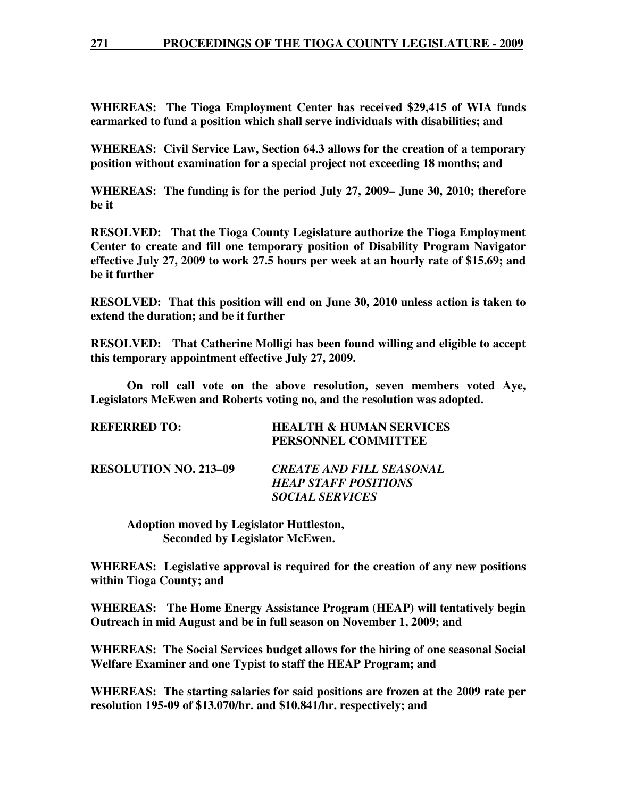## **271 PROCEEDINGS OF THE TIOGA COUNTY LEGISLATURE - 2009**

**WHEREAS: The Tioga Employment Center has received \$29,415 of WIA funds earmarked to fund a position which shall serve individuals with disabilities; and** 

**WHEREAS: Civil Service Law, Section 64.3 allows for the creation of a temporary position without examination for a special project not exceeding 18 months; and** 

**WHEREAS: The funding is for the period July 27, 2009– June 30, 2010; therefore be it** 

**RESOLVED: That the Tioga County Legislature authorize the Tioga Employment Center to create and fill one temporary position of Disability Program Navigator effective July 27, 2009 to work 27.5 hours per week at an hourly rate of \$15.69; and be it further** 

**RESOLVED: That this position will end on June 30, 2010 unless action is taken to extend the duration; and be it further** 

**RESOLVED: That Catherine Molligi has been found willing and eligible to accept this temporary appointment effective July 27, 2009.**

 **On roll call vote on the above resolution, seven members voted Aye, Legislators McEwen and Roberts voting no, and the resolution was adopted.** 

| REFERRED TO:          | <b>HEALTH &amp; HUMAN SERVICES</b><br>PERSONNEL COMMITTEE                                |
|-----------------------|------------------------------------------------------------------------------------------|
| RESOLUTION NO. 213–09 | <b>CREATE AND FILL SEASONAL</b><br><b>HEAP STAFF POSITIONS</b><br><b>SOCIAL SERVICES</b> |

 **Adoption moved by Legislator Huttleston, Seconded by Legislator McEwen.** 

**WHEREAS: Legislative approval is required for the creation of any new positions within Tioga County; and** 

**WHEREAS: The Home Energy Assistance Program (HEAP) will tentatively begin Outreach in mid August and be in full season on November 1, 2009; and** 

**WHEREAS: The Social Services budget allows for the hiring of one seasonal Social Welfare Examiner and one Typist to staff the HEAP Program; and** 

**WHEREAS: The starting salaries for said positions are frozen at the 2009 rate per resolution 195-09 of \$13.070/hr. and \$10.841/hr. respectively; and**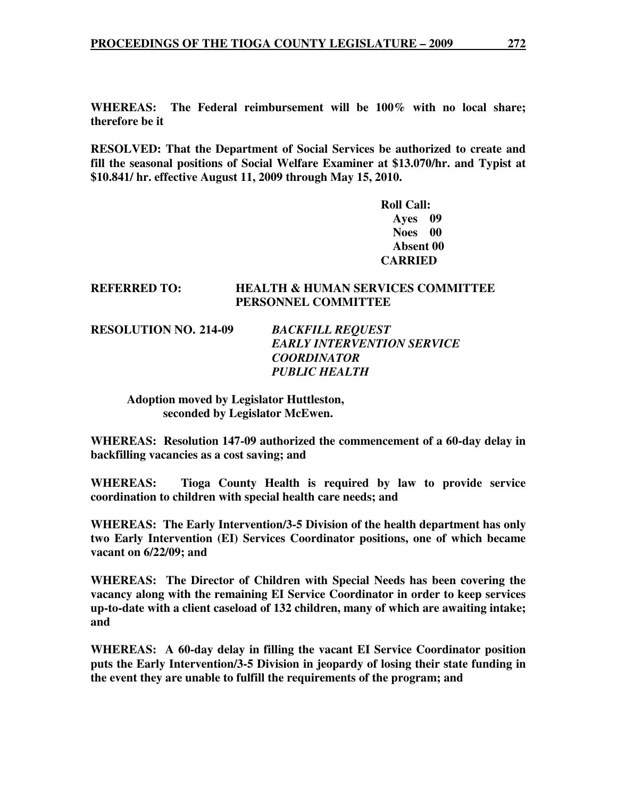**WHEREAS: The Federal reimbursement will be 100% with no local share; therefore be it** 

**RESOLVED: That the Department of Social Services be authorized to create and fill the seasonal positions of Social Welfare Examiner at \$13.070/hr. and Typist at \$10.841/ hr. effective August 11, 2009 through May 15, 2010.** 

> **Roll Call: Ayes 09 Noes 00 Absent 00 CARRIED**

### **REFERRED TO: HEALTH & HUMAN SERVICES COMMITTEE PERSONNEL COMMITTEE**

**RESOLUTION NO. 214-09** *BACKFILL REQUEST* 

*EARLY INTERVENTION SERVICE COORDINATOR PUBLIC HEALTH* 

 **Adoption moved by Legislator Huttleston, seconded by Legislator McEwen.** 

**WHEREAS: Resolution 147-09 authorized the commencement of a 60-day delay in backfilling vacancies as a cost saving; and** 

**WHEREAS: Tioga County Health is required by law to provide service coordination to children with special health care needs; and** 

**WHEREAS: The Early Intervention/3-5 Division of the health department has only two Early Intervention (EI) Services Coordinator positions, one of which became vacant on 6/22/09; and** 

**WHEREAS: The Director of Children with Special Needs has been covering the vacancy along with the remaining EI Service Coordinator in order to keep services up-to-date with a client caseload of 132 children, many of which are awaiting intake; and** 

**WHEREAS: A 60-day delay in filling the vacant EI Service Coordinator position puts the Early Intervention/3-5 Division in jeopardy of losing their state funding in the event they are unable to fulfill the requirements of the program; and**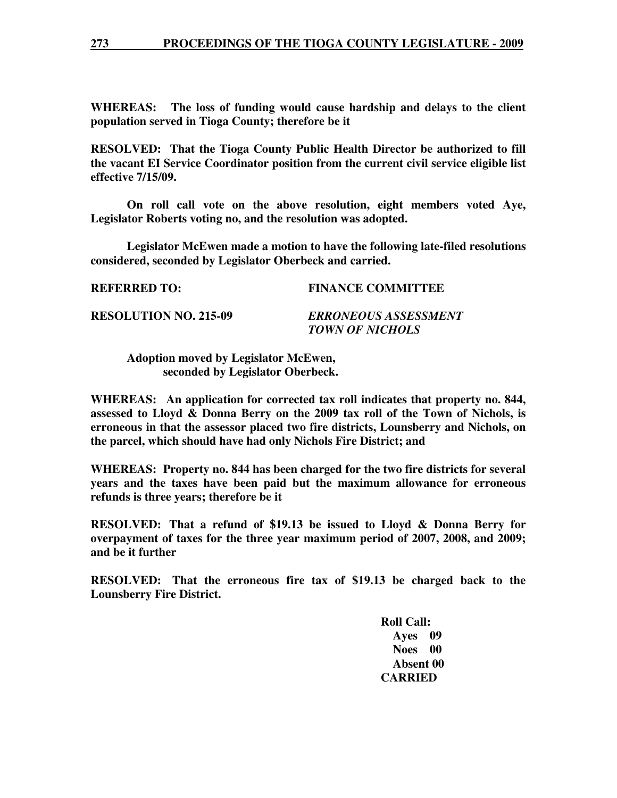### **273 PROCEEDINGS OF THE TIOGA COUNTY LEGISLATURE - 2009**

**WHEREAS: The loss of funding would cause hardship and delays to the client population served in Tioga County; therefore be it** 

**RESOLVED: That the Tioga County Public Health Director be authorized to fill the vacant EI Service Coordinator position from the current civil service eligible list effective 7/15/09.** 

 **On roll call vote on the above resolution, eight members voted Aye, Legislator Roberts voting no, and the resolution was adopted.** 

 **Legislator McEwen made a motion to have the following late-filed resolutions considered, seconded by Legislator Oberbeck and carried.** 

**REFERRED TO: FINANCE COMMITTEE** 

**RESOLUTION NO. 215-09** *ERRONEOUS ASSESSMENT* 

 *TOWN OF NICHOLS* 

 **Adoption moved by Legislator McEwen, seconded by Legislator Oberbeck.** 

**WHEREAS: An application for corrected tax roll indicates that property no. 844, assessed to Lloyd & Donna Berry on the 2009 tax roll of the Town of Nichols, is erroneous in that the assessor placed two fire districts, Lounsberry and Nichols, on the parcel, which should have had only Nichols Fire District; and** 

**WHEREAS: Property no. 844 has been charged for the two fire districts for several years and the taxes have been paid but the maximum allowance for erroneous refunds is three years; therefore be it** 

**RESOLVED: That a refund of \$19.13 be issued to Lloyd & Donna Berry for overpayment of taxes for the three year maximum period of 2007, 2008, and 2009; and be it further** 

**RESOLVED: That the erroneous fire tax of \$19.13 be charged back to the Lounsberry Fire District.** 

> **Roll Call: Ayes 09 Noes 00 Absent 00 CARRIED**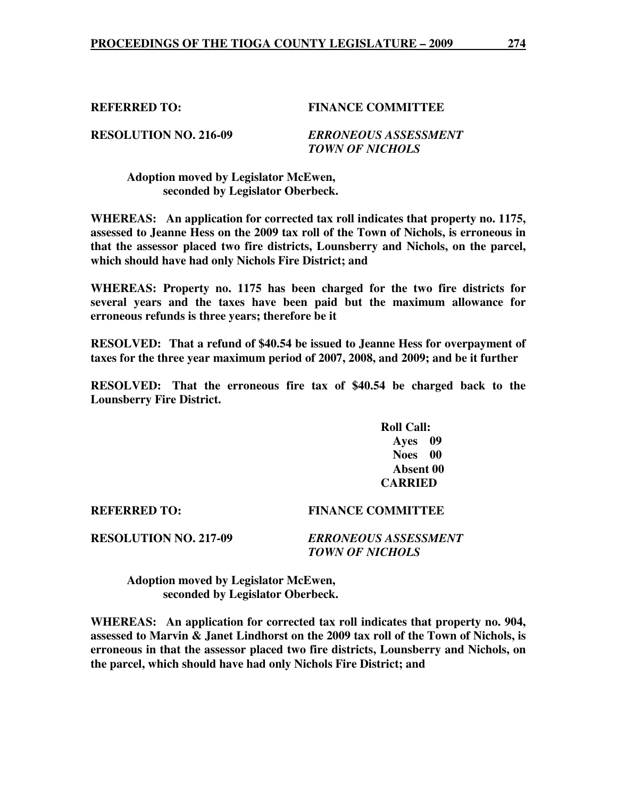## **REFERRED TO: FINANCE COMMITTEE**

**RESOLUTION NO. 216-09** *ERRONEOUS ASSESSMENT TOWN OF NICHOLS* 

 **Adoption moved by Legislator McEwen, seconded by Legislator Oberbeck.** 

**WHEREAS: An application for corrected tax roll indicates that property no. 1175, assessed to Jeanne Hess on the 2009 tax roll of the Town of Nichols, is erroneous in that the assessor placed two fire districts, Lounsberry and Nichols, on the parcel, which should have had only Nichols Fire District; and** 

**WHEREAS: Property no. 1175 has been charged for the two fire districts for several years and the taxes have been paid but the maximum allowance for erroneous refunds is three years; therefore be it** 

**RESOLVED: That a refund of \$40.54 be issued to Jeanne Hess for overpayment of taxes for the three year maximum period of 2007, 2008, and 2009; and be it further** 

**RESOLVED: That the erroneous fire tax of \$40.54 be charged back to the Lounsberry Fire District.** 

> **Roll Call: Ayes 09 Noes 00 Absent 00 CARRIED**

**REFERRED TO: FINANCE COMMITTEE** 

**RESOLUTION NO. 217-09** *ERRONEOUS ASSESSMENT TOWN OF NICHOLS* 

 **Adoption moved by Legislator McEwen, seconded by Legislator Oberbeck.** 

**WHEREAS: An application for corrected tax roll indicates that property no. 904, assessed to Marvin & Janet Lindhorst on the 2009 tax roll of the Town of Nichols, is erroneous in that the assessor placed two fire districts, Lounsberry and Nichols, on the parcel, which should have had only Nichols Fire District; and**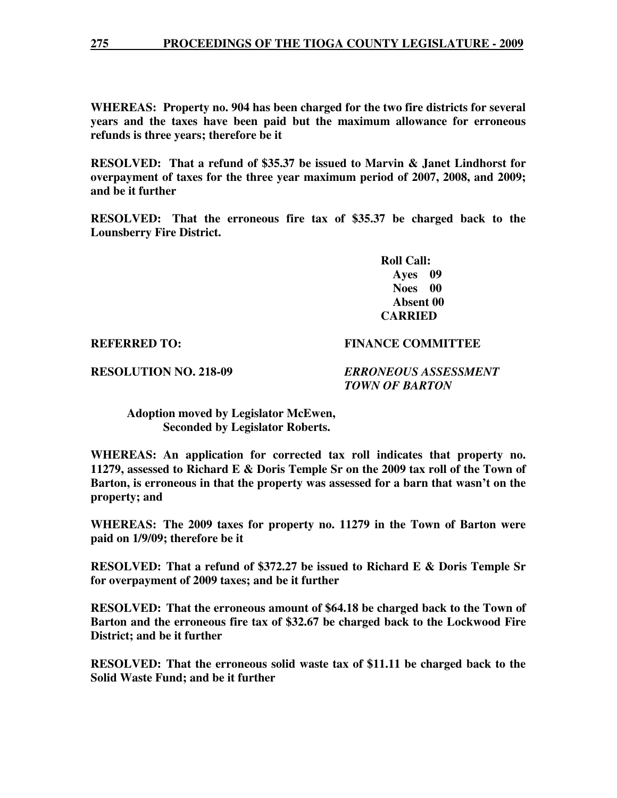**WHEREAS: Property no. 904 has been charged for the two fire districts for several years and the taxes have been paid but the maximum allowance for erroneous refunds is three years; therefore be it** 

**RESOLVED: That a refund of \$35.37 be issued to Marvin & Janet Lindhorst for overpayment of taxes for the three year maximum period of 2007, 2008, and 2009; and be it further** 

**RESOLVED: That the erroneous fire tax of \$35.37 be charged back to the Lounsberry Fire District.** 

> **Roll Call: Ayes 09 Noes 00 Absent 00 CARRIED**

### **REFERRED TO: FINANCE COMMITTEE**

**RESOLUTION NO. 218-09** *ERRONEOUS ASSESSMENT TOWN OF BARTON* 

 **Adoption moved by Legislator McEwen, Seconded by Legislator Roberts.** 

**WHEREAS: An application for corrected tax roll indicates that property no. 11279, assessed to Richard E & Doris Temple Sr on the 2009 tax roll of the Town of Barton, is erroneous in that the property was assessed for a barn that wasn't on the property; and** 

**WHEREAS: The 2009 taxes for property no. 11279 in the Town of Barton were paid on 1/9/09; therefore be it** 

**RESOLVED: That a refund of \$372.27 be issued to Richard E & Doris Temple Sr for overpayment of 2009 taxes; and be it further** 

**RESOLVED: That the erroneous amount of \$64.18 be charged back to the Town of Barton and the erroneous fire tax of \$32.67 be charged back to the Lockwood Fire District; and be it further** 

**RESOLVED: That the erroneous solid waste tax of \$11.11 be charged back to the Solid Waste Fund; and be it further**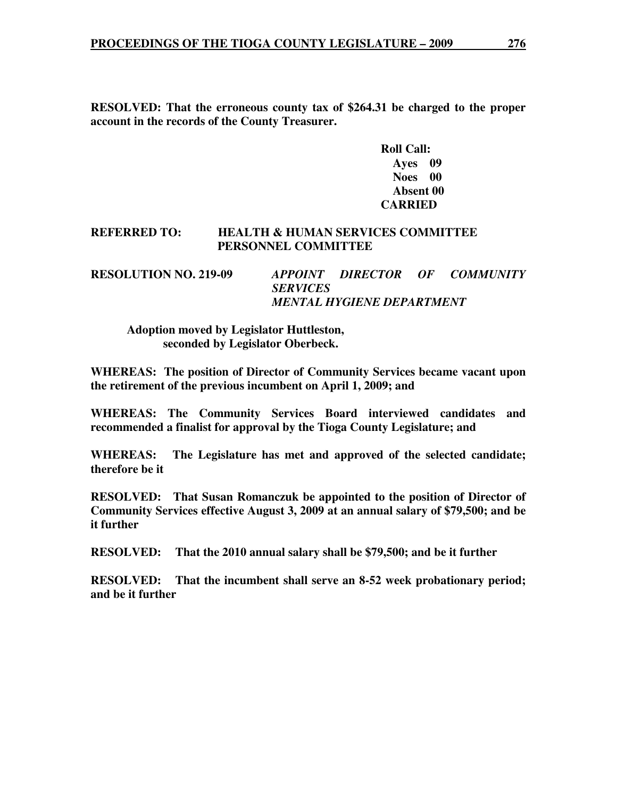**RESOLVED: That the erroneous county tax of \$264.31 be charged to the proper account in the records of the County Treasurer.** 

> **Roll Call: Ayes 09 Noes 00 Absent 00 CARRIED**

## **REFERRED TO: HEALTH & HUMAN SERVICES COMMITTEE PERSONNEL COMMITTEE**

**RESOLUTION NO. 219-09** *APPOINT DIRECTOR OF COMMUNITY SERVICES MENTAL HYGIENE DEPARTMENT* 

 **Adoption moved by Legislator Huttleston, seconded by Legislator Oberbeck.** 

**WHEREAS: The position of Director of Community Services became vacant upon the retirement of the previous incumbent on April 1, 2009; and** 

**WHEREAS: The Community Services Board interviewed candidates and recommended a finalist for approval by the Tioga County Legislature; and** 

**WHEREAS: The Legislature has met and approved of the selected candidate; therefore be it** 

**RESOLVED: That Susan Romanczuk be appointed to the position of Director of Community Services effective August 3, 2009 at an annual salary of \$79,500; and be it further** 

**RESOLVED: That the 2010 annual salary shall be \$79,500; and be it further** 

**RESOLVED: That the incumbent shall serve an 8-52 week probationary period; and be it further**